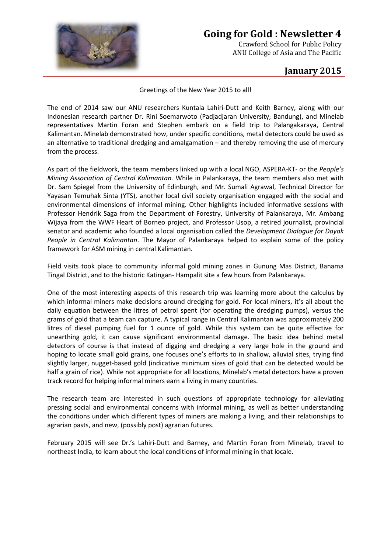

## **Going for Gold : Newsletter 4**

Crawford School for Public Policy ANU College of Asia and The Pacific

## **January 2015**

Greetings of the New Year 2015 to all!

The end of 2014 saw our ANU researchers Kuntala Lahiri-Dutt and Keith Barney, along with our Indonesian research partner Dr. Rini Soemarwoto (Padjadjaran University, Bandung), and Minelab representatives Martin Foran and Stephen embark on a field trip to Palangakaraya, Central Kalimantan. Minelab demonstrated how, under specific conditions, metal detectors could be used as an alternative to traditional dredging and amalgamation – and thereby removing the use of mercury from the process.

As part of the fieldwork, the team members linked up with a local NGO, ASPERA-KT- or the *People's Mining Association of Central Kalimantan.* While in Palankaraya, the team members also met with Dr. Sam Spiegel from the University of Edinburgh, and Mr. Sumali Agrawal, Technical Director for Yayasan Temuhak Sinta (YTS), another local civil society organisation engaged with the social and environmental dimensions of informal mining. Other highlights included informative sessions with Professor Hendrik Saga from the Department of Forestry, University of Palankaraya, Mr. Ambang Wijaya from the WWF Heart of Borneo project, and Professor Usop, a retired journalist, provincial senator and academic who founded a local organisation called the *Development Dialogue for Dayak People in Central Kalimantan*. The Mayor of Palankaraya helped to explain some of the policy framework for ASM mining in central Kalimantan.

Field visits took place to community informal gold mining zones in Gunung Mas District, Banama Tingal District, and to the historic Katingan- Hampalit site a few hours from Palankaraya.

One of the most interesting aspects of this research trip was learning more about the calculus by which informal miners make decisions around dredging for gold. For local miners, it's all about the daily equation between the litres of petrol spent (for operating the dredging pumps), versus the grams of gold that a team can capture. A typical range in Central Kalimantan was approximately 200 litres of diesel pumping fuel for 1 ounce of gold. While this system can be quite effective for unearthing gold, it can cause significant environmental damage. The basic idea behind metal detectors of course is that instead of digging and dredging a very large hole in the ground and hoping to locate small gold grains, one focuses one's efforts to in shallow, alluvial sites, trying find slightly larger, nugget-based gold (indicative minimum sizes of gold that can be detected would be half a grain of rice). While not appropriate for all locations, Minelab's metal detectors have a proven track record for helping informal miners earn a living in many countries.

The research team are interested in such questions of appropriate technology for alleviating pressing social and environmental concerns with informal mining, as well as better understanding the conditions under which different types of miners are making a living, and their relationships to agrarian pasts, and new, (possibly post) agrarian futures.

February 2015 will see Dr.'s Lahiri-Dutt and Barney, and Martin Foran from Minelab, travel to northeast India, to learn about the local conditions of informal mining in that locale.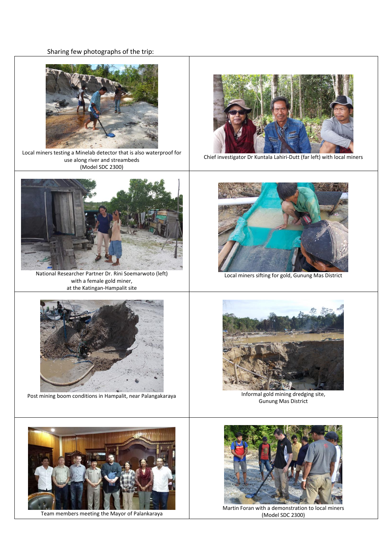## Sharing few photographs of the trip:



Local miners testing a Minelab detector that is also waterproof for use along river and streambeds (Model SDC 2300)



National Researcher Partner Dr. Rini Soemarwoto (left) with a female gold miner, at the Katingan-Hampalit site



Post mining boom conditions in Hampalit, near Palangakaraya Informal gold mining dredging site,



Chief investigator Dr Kuntala Lahiri-Dutt (far left) with local miners



Local miners sifting for gold, Gunung Mas District



Gunung Mas District



Team members meeting the Mayor of Palankaraya



Martin Foran with a demonstration to local miners (Model SDC 2300)